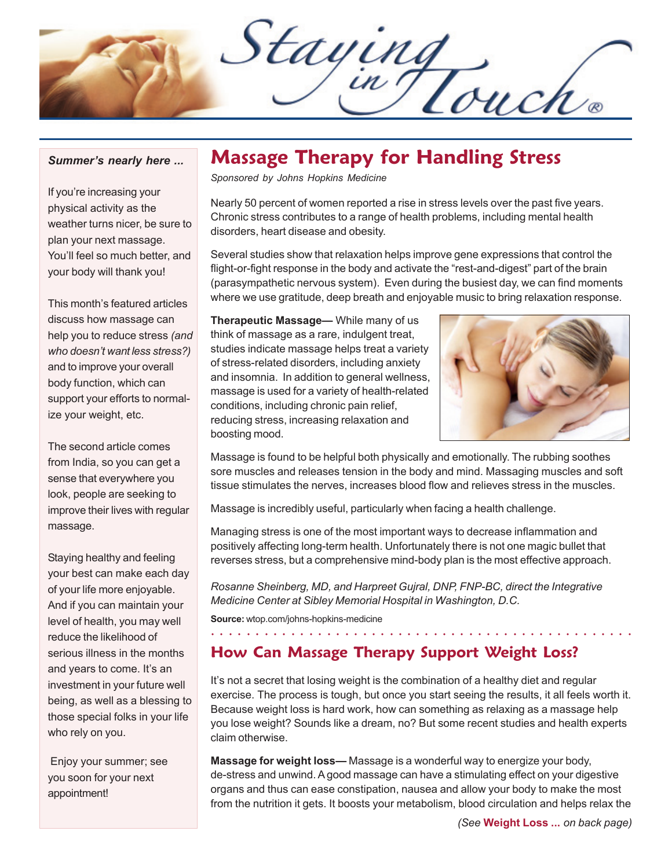Staying

#### *Summer's nearly here ...*

If you're increasing your physical activity as the weather turns nicer, be sure to plan your next massage. You'll feel so much better, and your body will thank you!

This month's featured articles discuss how massage can help you to reduce stress *(and who doesn't want less stress?)* and to improve your overall body function, which can support your efforts to normalize your weight, etc.

The second article comes from India, so you can get a sense that everywhere you look, people are seeking to improve their lives with regular massage.

Staying healthy and feeling your best can make each day of your life more enjoyable. And if you can maintain your level of health, you may well reduce the likelihood of serious illness in the months and years to come. It's an investment in your future well being, as well as a blessing to those special folks in your life who rely on you.

 Enjoy your summer; see you soon for your next appointment!

## **Massage Therapy for Handling Stress**

*Sponsored by Johns Hopkins Medicine*

Nearly 50 percent of women reported a rise in stress levels over the past five years. Chronic stress contributes to a range of health problems, including mental health disorders, heart disease and obesity.

Several studies show that relaxation helps improve gene expressions that control the flight-or-fight response in the body and activate the "rest-and-digest" part of the brain (parasympathetic nervous system). Even during the busiest day, we can find moments where we use gratitude, deep breath and enjoyable music to bring relaxation response.

**Therapeutic Massage—** While many of us think of massage as a rare, indulgent treat, studies indicate massage helps treat a variety of stress-related disorders, including anxiety and insomnia. In addition to general wellness, massage is used for a variety of health-related conditions, including chronic pain relief, reducing stress, increasing relaxation and boosting mood.



Massage is found to be helpful both physically and emotionally. The rubbing soothes sore muscles and releases tension in the body and mind. Massaging muscles and soft tissue stimulates the nerves, increases blood flow and relieves stress in the muscles.

Massage is incredibly useful, particularly when facing a health challenge.

Managing stress is one of the most important ways to decrease inflammation and positively affecting long-term health. Unfortunately there is not one magic bullet that reverses stress, but a comprehensive mind-body plan is the most effective approach.

*Rosanne Sheinberg, MD, and Harpreet Gujral, DNP, FNP-BC, direct the Integrative Medicine Center at Sibley Memorial Hospital in Washington, D.C.*

**Source:** wtop.com/johns-hopkins-medicine

## **How Can Massage Therapy Support Weight Loss?**

It's not a secret that losing weight is the combination of a healthy diet and regular exercise. The process is tough, but once you start seeing the results, it all feels worth it. Because weight loss is hard work, how can something as relaxing as a massage help you lose weight? Sounds like a dream, no? But some recent studies and health experts claim otherwise.

○○○○○○○○○○○○○○○○○○ ○○○○○○○○○○○○○○○○○○○○○○○○○○○○○○

**Massage for weight loss—** Massage is a wonderful way to energize your body, de-stress and unwind. A good massage can have a stimulating effect on your digestive organs and thus can ease constipation, nausea and allow your body to make the most from the nutrition it gets. It boosts your metabolism, blood circulation and helps relax the